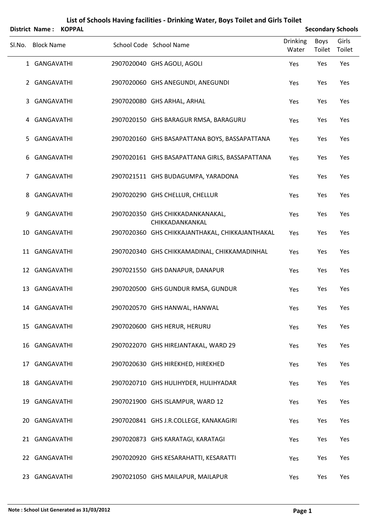|        |                   | District Name: KOPPAL |                                                     |                          |                | <b>Secondary Schools</b> |
|--------|-------------------|-----------------------|-----------------------------------------------------|--------------------------|----------------|--------------------------|
| Sl.No. | <b>Block Name</b> |                       | School Code School Name                             | <b>Drinking</b><br>Water | Boys<br>Toilet | Girls<br>Toilet          |
|        | 1 GANGAVATHI      |                       | 2907020040 GHS AGOLI, AGOLI                         | Yes                      | Yes            | Yes                      |
|        | 2 GANGAVATHI      |                       | 2907020060 GHS ANEGUNDI, ANEGUNDI                   | Yes                      | Yes            | Yes                      |
| 3      | GANGAVATHI        |                       | 2907020080 GHS ARHAL, ARHAL                         | Yes                      | Yes            | Yes                      |
|        | 4 GANGAVATHI      |                       | 2907020150 GHS BARAGUR RMSA, BARAGURU               | Yes                      | Yes            | Yes                      |
| 5.     | GANGAVATHI        |                       | 2907020160 GHS BASAPATTANA BOYS, BASSAPATTANA       | Yes                      | Yes            | Yes                      |
| 6      | GANGAVATHI        |                       | 2907020161 GHS BASAPATTANA GIRLS, BASSAPATTANA      | Yes                      | Yes            | Yes                      |
| 7      | GANGAVATHI        |                       | 2907021511 GHS BUDAGUMPA, YARADONA                  | Yes                      | Yes            | Yes                      |
| 8      | GANGAVATHI        |                       | 2907020290 GHS CHELLUR, CHELLUR                     | Yes                      | Yes            | Yes                      |
| 9      | GANGAVATHI        |                       | 2907020350 GHS CHIKKADANKANAKAL,<br>CHIKKADANKANKAL | Yes                      | Yes            | Yes                      |
| 10     | GANGAVATHI        |                       | 2907020360 GHS CHIKKAJANTHAKAL, CHIKKAJANTHAKAL     | Yes                      | Yes            | Yes                      |
|        | 11 GANGAVATHI     |                       | 2907020340 GHS CHIKKAMADINAL, CHIKKAMADINHAL        | Yes                      | Yes            | Yes                      |
|        | 12 GANGAVATHI     |                       | 2907021550 GHS DANAPUR, DANAPUR                     | Yes                      | Yes            | Yes                      |
|        | 13 GANGAVATHI     |                       | 2907020500 GHS GUNDUR RMSA, GUNDUR                  | Yes                      | Yes            | Yes                      |
|        | 14 GANGAVATHI     |                       | 2907020570 GHS HANWAL, HANWAL                       | Yes                      | Yes            | Yes                      |
|        | 15 GANGAVATHI     |                       | 2907020600 GHS HERUR, HERURU                        | Yes                      | Yes            | Yes                      |
|        | 16 GANGAVATHI     |                       | 2907022070 GHS HIREJANTAKAL, WARD 29                | Yes                      | Yes            | Yes                      |
|        | 17 GANGAVATHI     |                       | 2907020630 GHS HIREKHED, HIREKHED                   | Yes                      | Yes            | Yes                      |
|        | 18 GANGAVATHI     |                       | 2907020710 GHS HULIHYDER, HULIHYADAR                | Yes                      | Yes            | Yes                      |
|        | 19 GANGAVATHI     |                       | 2907021900 GHS ISLAMPUR, WARD 12                    | Yes                      | Yes            | Yes                      |
|        | 20 GANGAVATHI     |                       | 2907020841 GHS J.R.COLLEGE, KANAKAGIRI              | Yes                      | Yes            | Yes                      |
|        | 21 GANGAVATHI     |                       | 2907020873 GHS KARATAGI, KARATAGI                   | Yes                      | Yes            | Yes                      |
|        | 22 GANGAVATHI     |                       | 2907020920 GHS KESARAHATTI, KESARATTI               | Yes                      | Yes            | Yes                      |
|        | 23 GANGAVATHI     |                       | 2907021050 GHS MAILAPUR, MAILAPUR                   | Yes                      | Yes            | Yes                      |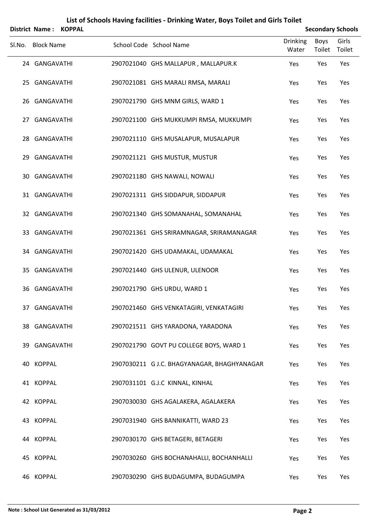|        | <b>District Name:</b> | <b>KOPPAL</b> |                                             |                          |                | <b>Secondary Schools</b> |
|--------|-----------------------|---------------|---------------------------------------------|--------------------------|----------------|--------------------------|
| SI.No. | <b>Block Name</b>     |               | School Code School Name                     | <b>Drinking</b><br>Water | Boys<br>Toilet | Girls<br>Toilet          |
|        | 24 GANGAVATHI         |               | 2907021040 GHS MALLAPUR, MALLAPUR.K         | Yes                      | Yes            | Yes                      |
|        | 25 GANGAVATHI         |               | 2907021081 GHS MARALI RMSA, MARALI          | Yes                      | Yes            | Yes                      |
|        | 26 GANGAVATHI         |               | 2907021790 GHS MNM GIRLS, WARD 1            | Yes                      | Yes            | Yes                      |
|        | 27 GANGAVATHI         |               | 2907021100 GHS MUKKUMPI RMSA, MUKKUMPI      | Yes                      | Yes            | Yes                      |
|        | 28 GANGAVATHI         |               | 2907021110 GHS MUSALAPUR, MUSALAPUR         | Yes                      | Yes            | Yes                      |
|        | 29 GANGAVATHI         |               | 2907021121 GHS MUSTUR, MUSTUR               | Yes                      | Yes            | Yes                      |
|        | 30 GANGAVATHI         |               | 2907021180 GHS NAWALI, NOWALI               | Yes                      | Yes            | Yes                      |
|        | 31 GANGAVATHI         |               | 2907021311 GHS SIDDAPUR, SIDDAPUR           | Yes                      | Yes            | Yes                      |
|        | 32 GANGAVATHI         |               | 2907021340 GHS SOMANAHAL, SOMANAHAL         | Yes                      | Yes            | Yes                      |
|        | 33 GANGAVATHI         |               | 2907021361 GHS SRIRAMNAGAR, SRIRAMANAGAR    | Yes                      | Yes            | Yes                      |
|        | 34 GANGAVATHI         |               | 2907021420 GHS UDAMAKAL, UDAMAKAL           | Yes                      | Yes            | Yes                      |
|        | 35 GANGAVATHI         |               | 2907021440 GHS ULENUR, ULENOOR              | Yes                      | Yes            | Yes                      |
|        | 36 GANGAVATHI         |               | 2907021790 GHS URDU, WARD 1                 | Yes                      | Yes            | Yes                      |
|        | 37 GANGAVATHI         |               | 2907021460 GHS VENKATAGIRI, VENKATAGIRI     | Yes                      | Yes            | Yes                      |
|        | 38 GANGAVATHI         |               | 2907021511 GHS YARADONA, YARADONA           | Yes                      | Yes            | Yes                      |
|        | 39 GANGAVATHI         |               | 2907021790 GOVT PU COLLEGE BOYS, WARD 1     | Yes                      | Yes            | Yes                      |
|        | 40 KOPPAL             |               | 2907030211 G J.C. BHAGYANAGAR, BHAGHYANAGAR | Yes                      | Yes            | Yes                      |
|        | 41 KOPPAL             |               | 2907031101 G.J.C KINNAL, KINHAL             | Yes                      | Yes            | Yes                      |
|        | 42 KOPPAL             |               | 2907030030 GHS AGALAKERA, AGALAKERA         | Yes                      | Yes            | Yes                      |
|        | 43 KOPPAL             |               | 2907031940 GHS BANNIKATTI, WARD 23          | Yes                      | Yes            | Yes                      |
|        | 44 KOPPAL             |               | 2907030170 GHS BETAGERI, BETAGERI           | Yes                      | Yes            | Yes                      |
|        | 45 KOPPAL             |               | 2907030260 GHS BOCHANAHALLI, BOCHANHALLI    | Yes                      | Yes            | Yes                      |
|        | 46 KOPPAL             |               | 2907030290 GHS BUDAGUMPA, BUDAGUMPA         | Yes                      | Yes            | Yes                      |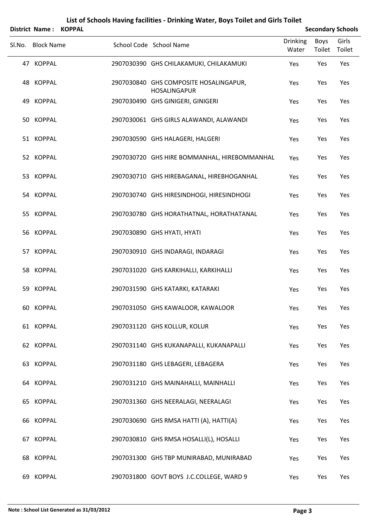|        |                   | District Name: KOPPAL |                                                               |                          |                | <b>Secondary Schools</b> |
|--------|-------------------|-----------------------|---------------------------------------------------------------|--------------------------|----------------|--------------------------|
| Sl.No. | <b>Block Name</b> |                       | School Code School Name                                       | <b>Drinking</b><br>Water | Boys<br>Toilet | Girls<br>Toilet          |
|        | 47 KOPPAL         |                       | 2907030390 GHS CHILAKAMUKI, CHILAKAMUKI                       | Yes                      | Yes            | Yes                      |
|        | 48 KOPPAL         |                       | 2907030840 GHS COMPOSITE HOSALINGAPUR,<br><b>HOSALINGAPUR</b> | Yes                      | Yes            | Yes                      |
|        | 49 KOPPAL         |                       | 2907030490 GHS GINIGERI, GINIGERI                             | Yes                      | Yes            | Yes                      |
|        | 50 KOPPAL         |                       | 2907030061 GHS GIRLS ALAWANDI, ALAWANDI                       | Yes                      | Yes            | Yes                      |
|        | 51 KOPPAL         |                       | 2907030590 GHS HALAGERI, HALGERI                              | Yes                      | Yes            | Yes                      |
|        | 52 KOPPAL         |                       | 2907030720 GHS HIRE BOMMANHAL, HIREBOMMANHAL                  | Yes                      | Yes            | Yes                      |
|        | 53 KOPPAL         |                       | 2907030710 GHS HIREBAGANAL, HIREBHOGANHAL                     | Yes                      | Yes            | Yes                      |
|        | 54 KOPPAL         |                       | 2907030740 GHS HIRESINDHOGI, HIRESINDHOGI                     | Yes                      | Yes            | Yes                      |
|        | 55 KOPPAL         |                       | 2907030780 GHS HORATHATNAL, HORATHATANAL                      | Yes                      | Yes            | Yes                      |
|        | 56 KOPPAL         |                       | 2907030890 GHS HYATI, HYATI                                   | Yes                      | Yes            | Yes                      |
|        | 57 KOPPAL         |                       | 2907030910 GHS INDARAGI, INDARAGI                             | Yes                      | Yes            | Yes                      |
|        | 58 KOPPAL         |                       | 2907031020 GHS KARKIHALLI, KARKIHALLI                         | Yes                      | Yes            | Yes                      |
|        | 59 KOPPAL         |                       | 2907031590 GHS KATARKI, KATARAKI                              | Yes                      | Yes            | Yes                      |
|        | 60 KOPPAL         |                       | 2907031050 GHS KAWALOOR, KAWALOOR                             | Yes                      | Yes            | Yes                      |
|        | 61 KOPPAL         |                       | 2907031120 GHS KOLLUR, KOLUR                                  | Yes                      | Yes            | Yes                      |
|        | 62 KOPPAL         |                       | 2907031140 GHS KUKANAPALLI, KUKANAPALLI                       | Yes                      | Yes            | Yes                      |
|        | 63 KOPPAL         |                       | 2907031180 GHS LEBAGERI, LEBAGERA                             | Yes                      | Yes            | Yes                      |
|        | 64 KOPPAL         |                       | 2907031210 GHS MAINAHALLI, MAINHALLI                          | Yes                      | Yes            | Yes                      |
|        | 65 KOPPAL         |                       | 2907031360 GHS NEERALAGI, NEERALAGI                           | Yes                      | Yes            | Yes                      |
|        | 66 KOPPAL         |                       | 2907030690 GHS RMSA HATTI (A), HATTI(A)                       | Yes                      | Yes            | Yes                      |
|        | 67 KOPPAL         |                       | 2907030810 GHS RMSA HOSALLI(L), HOSALLI                       | Yes                      | Yes            | Yes                      |
|        | 68 KOPPAL         |                       | 2907031300 GHS TBP MUNIRABAD, MUNIRABAD                       | Yes                      | Yes            | Yes                      |
|        | 69 KOPPAL         |                       | 2907031800 GOVT BOYS J.C.COLLEGE, WARD 9                      | Yes                      | Yes            | Yes                      |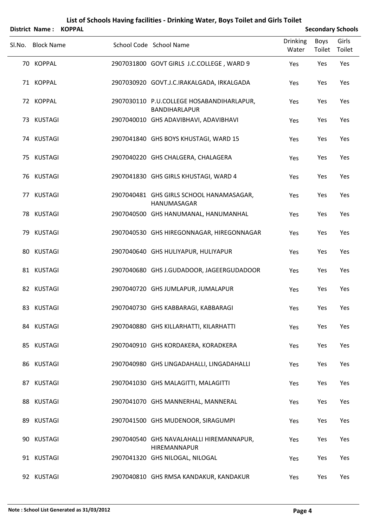|        | District Name: KOPPAL |                                                                   |                          |                | <b>Secondary Schools</b> |
|--------|-----------------------|-------------------------------------------------------------------|--------------------------|----------------|--------------------------|
| SI.No. | <b>Block Name</b>     | School Code School Name                                           | <b>Drinking</b><br>Water | Boys<br>Toilet | Girls<br>Toilet          |
|        | 70 KOPPAL             | 2907031800 GOVT GIRLS J.C.COLLEGE, WARD 9                         | Yes                      | Yes            | Yes                      |
|        | 71 KOPPAL             | 2907030920 GOVT.J.C.IRAKALGADA, IRKALGADA                         | Yes                      | Yes            | Yes                      |
|        | 72 KOPPAL             | 2907030110 P.U.COLLEGE HOSABANDIHARLAPUR,<br><b>BANDIHARLAPUR</b> | Yes                      | Yes            | Yes                      |
|        | 73 KUSTAGI            | 2907040010 GHS ADAVIBHAVI, ADAVIBHAVI                             | Yes                      | Yes            | Yes                      |
|        | 74 KUSTAGI            | 2907041840 GHS BOYS KHUSTAGI, WARD 15                             | Yes                      | Yes            | Yes                      |
|        | 75 KUSTAGI            | 2907040220 GHS CHALGERA, CHALAGERA                                | Yes                      | Yes            | Yes                      |
|        | 76 KUSTAGI            | 2907041830 GHS GIRLS KHUSTAGI, WARD 4                             | Yes                      | Yes            | Yes                      |
|        | 77 KUSTAGI            | 2907040481 GHS GIRLS SCHOOL HANAMASAGAR,<br>HANUMASAGAR           | Yes                      | Yes            | Yes                      |
|        | 78 KUSTAGI            | 2907040500 GHS HANUMANAL, HANUMANHAL                              | Yes                      | Yes            | Yes                      |
|        | 79 KUSTAGI            | 2907040530 GHS HIREGONNAGAR, HIREGONNAGAR                         | Yes                      | Yes            | Yes                      |
|        | 80 KUSTAGI            | 2907040640 GHS HULIYAPUR, HULIYAPUR                               | Yes                      | Yes            | Yes                      |
|        | 81 KUSTAGI            | 2907040680 GHS J.GUDADOOR, JAGEERGUDADOOR                         | Yes                      | Yes            | Yes                      |
|        | 82 KUSTAGI            | 2907040720 GHS JUMLAPUR, JUMALAPUR                                | Yes                      | Yes            | Yes                      |
|        | 83 KUSTAGI            | 2907040730 GHS KABBARAGI, KABBARAGI                               | Yes                      | Yes            | Yes                      |
|        | 84 KUSTAGI            | 2907040880 GHS KILLARHATTI, KILARHATTI                            | Yes                      | Yes            | Yes                      |
|        | 85 KUSTAGI            | 2907040910 GHS KORDAKERA, KORADKERA                               | Yes                      | Yes            | Yes                      |
|        | 86 KUSTAGI            | 2907040980 GHS LINGADAHALLI, LINGADAHALLI                         | Yes                      | Yes            | Yes                      |
|        | 87 KUSTAGI            | 2907041030 GHS MALAGITTI, MALAGITTI                               | Yes                      | Yes            | Yes                      |
|        | 88 KUSTAGI            | 2907041070 GHS MANNERHAL, MANNERAL                                | Yes                      | Yes            | Yes                      |
|        | 89 KUSTAGI            | 2907041500 GHS MUDENOOR, SIRAGUMPI                                | Yes                      | Yes            | Yes                      |
|        | 90 KUSTAGI            | 2907040540 GHS NAVALAHALLI HIREMANNAPUR,<br>HIREMANNAPUR          | Yes                      | Yes            | Yes                      |
|        | 91 KUSTAGI            | 2907041320 GHS NILOGAL, NILOGAL                                   | Yes                      | Yes            | Yes                      |
|        | 92 KUSTAGI            | 2907040810 GHS RMSA KANDAKUR, KANDAKUR                            | Yes                      | Yes            | Yes                      |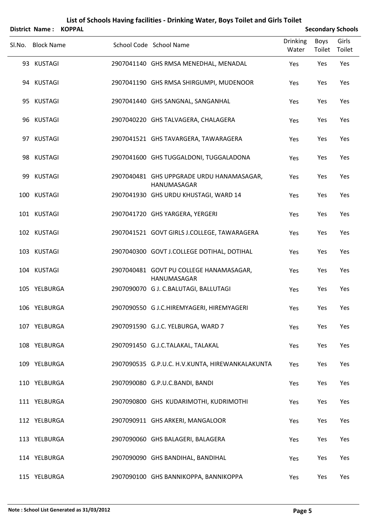|        | <b>District Name:</b> | <b>KOPPAL</b> |                                                          |                          |                | <b>Secondary Schools</b> |
|--------|-----------------------|---------------|----------------------------------------------------------|--------------------------|----------------|--------------------------|
| SI.No. | <b>Block Name</b>     |               | School Code School Name                                  | <b>Drinking</b><br>Water | Boys<br>Toilet | Girls<br>Toilet          |
|        | 93 KUSTAGI            |               | 2907041140 GHS RMSA MENEDHAL, MENADAL                    | Yes                      | Yes            | Yes                      |
|        | 94 KUSTAGI            |               | 2907041190 GHS RMSA SHIRGUMPI, MUDENOOR                  | Yes                      | Yes            | Yes                      |
|        | 95 KUSTAGI            |               | 2907041440 GHS SANGNAL, SANGANHAL                        | Yes                      | Yes            | Yes                      |
|        | 96 KUSTAGI            |               | 2907040220 GHS TALVAGERA, CHALAGERA                      | Yes                      | Yes            | Yes                      |
|        | 97 KUSTAGI            |               | 2907041521 GHS TAVARGERA, TAWARAGERA                     | Yes                      | Yes            | Yes                      |
|        | 98 KUSTAGI            |               | 2907041600 GHS TUGGALDONI, TUGGALADONA                   | Yes                      | Yes            | Yes                      |
|        | 99 KUSTAGI            |               | 2907040481 GHS UPPGRADE URDU HANAMASAGAR,<br>HANUMASAGAR | Yes                      | Yes            | Yes                      |
|        | 100 KUSTAGI           |               | 2907041930 GHS URDU KHUSTAGI, WARD 14                    | Yes                      | Yes            | Yes                      |
|        | 101 KUSTAGI           |               | 2907041720 GHS YARGERA, YERGERI                          | Yes                      | Yes            | Yes                      |
|        | 102 KUSTAGI           |               | 2907041521 GOVT GIRLS J.COLLEGE, TAWARAGERA              | Yes                      | Yes            | Yes                      |
|        | 103 KUSTAGI           |               | 2907040300 GOVT J.COLLEGE DOTIHAL, DOTIHAL               | Yes                      | Yes            | Yes                      |
|        | 104 KUSTAGI           |               | 2907040481 GOVT PU COLLEGE HANAMASAGAR,<br>HANUMASAGAR   | Yes                      | Yes            | Yes                      |
|        | 105 YELBURGA          |               | 2907090070 G J. C.BALUTAGI, BALLUTAGI                    | Yes                      | Yes            | Yes                      |
|        | 106 YELBURGA          |               | 2907090550 G J.C.HIREMYAGERI, HIREMYAGERI                | Yes                      | Yes            | Yes                      |
|        | 107 YELBURGA          |               | 2907091590 G.J.C. YELBURGA, WARD 7                       | Yes                      | Yes            | Yes                      |
|        | 108 YELBURGA          |               | 2907091450 G.J.C.TALAKAL, TALAKAL                        | Yes                      | Yes            | Yes                      |
|        | 109 YELBURGA          |               | 2907090535 G.P.U.C. H.V.KUNTA, HIREWANKALAKUNTA          | Yes                      | Yes            | Yes                      |
|        | 110 YELBURGA          |               | 2907090080 G.P.U.C.BANDI, BANDI                          | Yes                      | Yes            | Yes                      |
|        | 111 YELBURGA          |               | 2907090800 GHS KUDARIMOTHI, KUDRIMOTHI                   | Yes                      | Yes            | Yes                      |
|        | 112 YELBURGA          |               | 2907090911 GHS ARKERI, MANGALOOR                         | Yes                      | Yes            | Yes                      |
|        | 113 YELBURGA          |               | 2907090060 GHS BALAGERI, BALAGERA                        | Yes                      | Yes            | Yes                      |
|        | 114 YELBURGA          |               | 2907090090 GHS BANDIHAL, BANDIHAL                        | Yes                      | Yes            | Yes                      |
|        | 115 YELBURGA          |               | 2907090100 GHS BANNIKOPPA, BANNIKOPPA                    | Yes                      | Yes            | Yes                      |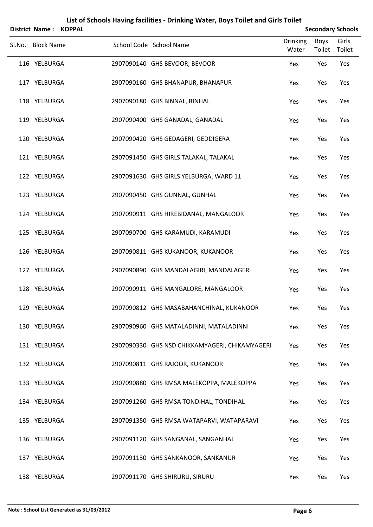| District Name:    | <b>KOPPAL</b> |                                                |                          |                | <b>Secondary Schools</b> |
|-------------------|---------------|------------------------------------------------|--------------------------|----------------|--------------------------|
| Sl.No. Block Name |               | School Code School Name                        | <b>Drinking</b><br>Water | Boys<br>Toilet | Girls<br>Toilet          |
| 116 YELBURGA      |               | 2907090140 GHS BEVOOR, BEVOOR                  | Yes                      | Yes            | Yes                      |
| 117 YELBURGA      |               | 2907090160 GHS BHANAPUR, BHANAPUR              | Yes                      | Yes            | Yes                      |
| 118 YELBURGA      |               | 2907090180 GHS BINNAL, BINHAL                  | Yes                      | Yes            | Yes                      |
| 119 YELBURGA      |               | 2907090400 GHS GANADAL, GANADAL                | Yes                      | Yes            | Yes                      |
| 120 YELBURGA      |               | 2907090420 GHS GEDAGERI, GEDDIGERA             | Yes                      | Yes            | Yes                      |
| 121 YELBURGA      |               | 2907091450 GHS GIRLS TALAKAL, TALAKAL          | Yes                      | Yes            | Yes                      |
| 122 YELBURGA      |               | 2907091630 GHS GIRLS YELBURGA, WARD 11         | Yes                      | Yes            | Yes                      |
| 123 YELBURGA      |               | 2907090450 GHS GUNNAL, GUNHAL                  | Yes                      | Yes            | Yes                      |
| 124 YELBURGA      |               | 2907090911 GHS HIREBIDANAL, MANGALOOR          | Yes                      | Yes            | Yes                      |
| 125 YELBURGA      |               | 2907090700 GHS KARAMUDI, KARAMUDI              | Yes                      | Yes            | Yes                      |
| 126 YELBURGA      |               | 2907090811 GHS KUKANOOR, KUKANOOR              | Yes                      | Yes            | Yes                      |
| 127 YELBURGA      |               | 2907090890 GHS MANDALAGIRI, MANDALAGERI        | Yes                      | Yes            | Yes                      |
| 128 YELBURGA      |               | 2907090911 GHS MANGALORE, MANGALOOR            | Yes                      | Yes            | Yes                      |
| 129 YELBURGA      |               | 2907090812 GHS MASABAHANCHINAL, KUKANOOR       | Yes                      | Yes            | Yes                      |
| 130 YELBURGA      |               | 2907090960 GHS MATALADINNI, MATALADINNI        | Yes                      | Yes            | Yes                      |
| 131 YELBURGA      |               | 2907090330 GHS NSD CHIKKAMYAGERI, CHIKAMYAGERI | Yes                      | Yes            | Yes                      |
| 132 YELBURGA      |               | 2907090811 GHS RAJOOR, KUKANOOR                | Yes                      | Yes            | Yes                      |
| 133 YELBURGA      |               | 2907090880 GHS RMSA MALEKOPPA, MALEKOPPA       | Yes                      | Yes            | Yes                      |
| 134 YELBURGA      |               | 2907091260 GHS RMSA TONDIHAL, TONDIHAL         | Yes                      | Yes            | Yes                      |
| 135 YELBURGA      |               | 2907091350 GHS RMSA WATAPARVI, WATAPARAVI      | Yes                      | Yes            | Yes                      |
| 136 YELBURGA      |               | 2907091120 GHS SANGANAL, SANGANHAL             | Yes                      | Yes            | Yes                      |
| 137 YELBURGA      |               | 2907091130 GHS SANKANOOR, SANKANUR             | Yes                      | Yes            | Yes                      |
| 138 YELBURGA      |               | 2907091170 GHS SHIRURU, SIRURU                 | Yes                      | Yes            | Yes                      |